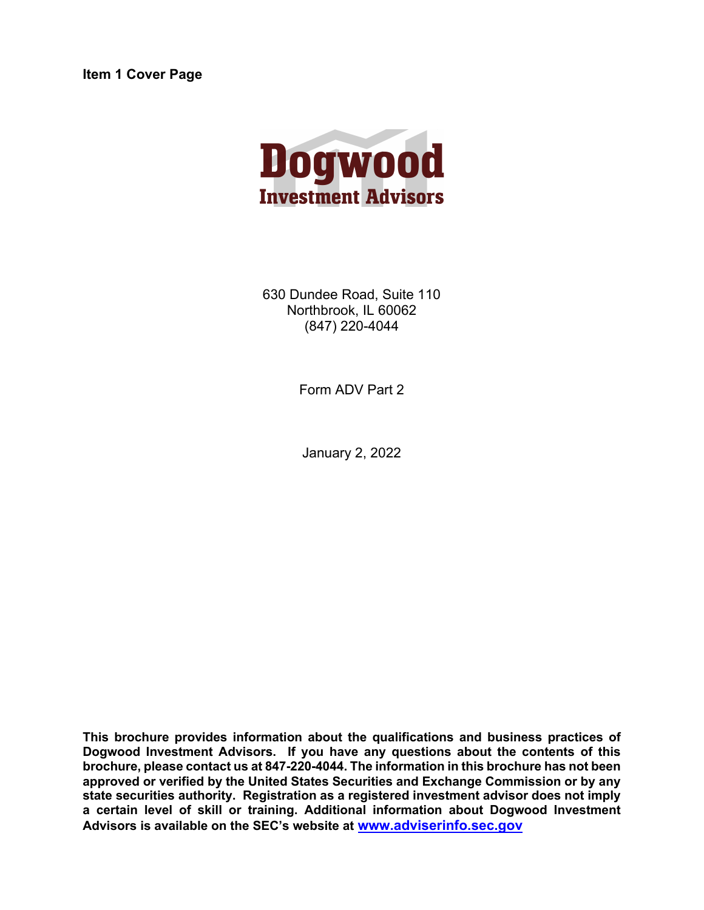**Item 1 Cover Page**



630 Dundee Road, Suite 110 Northbrook, IL 60062 (847) 220-4044

Form ADV Part 2

January 2, 2022

**This brochure provides information about the qualifications and business practices of Dogwood Investment Advisors. If you have any questions about the contents of this brochure, please contact us at 847-220-4044. The information in this brochure has not been approved or verified by the United States Securities and Exchange Commission or by any state securities authority. Registration as a registered investment advisor does not imply a certain level of skill or training. Additional information about Dogwood Investment Advisors is available on the SEC's website at www.adviserinfo.sec.gov**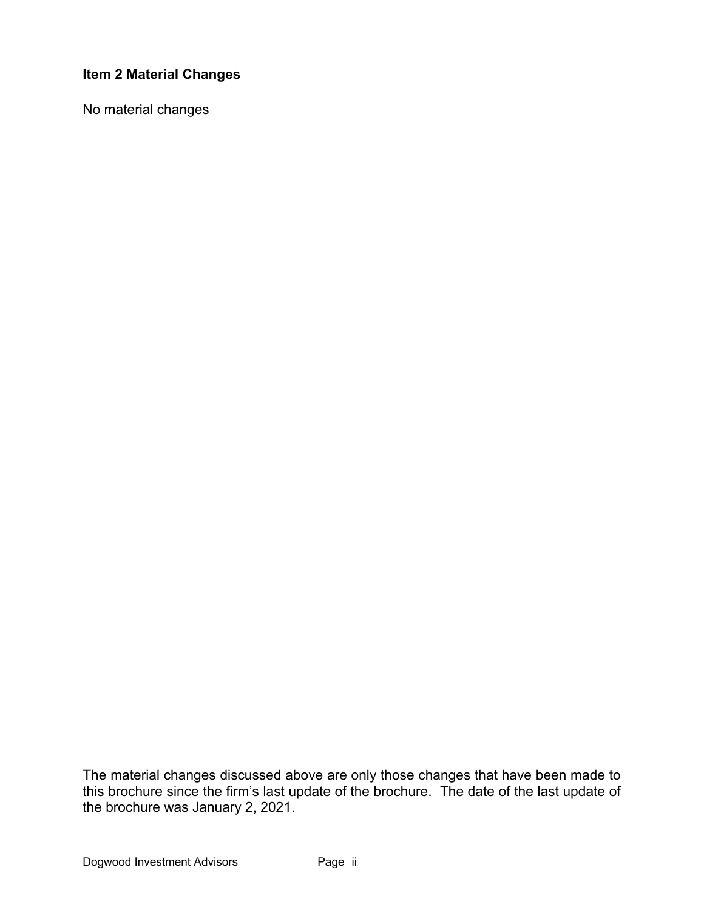# **Item 2 Material Changes**

No material changes

The material changes discussed above are only those changes that have been made to this brochure since the firm's last update of the brochure. The date of the last update of the brochure was January 2, 2021.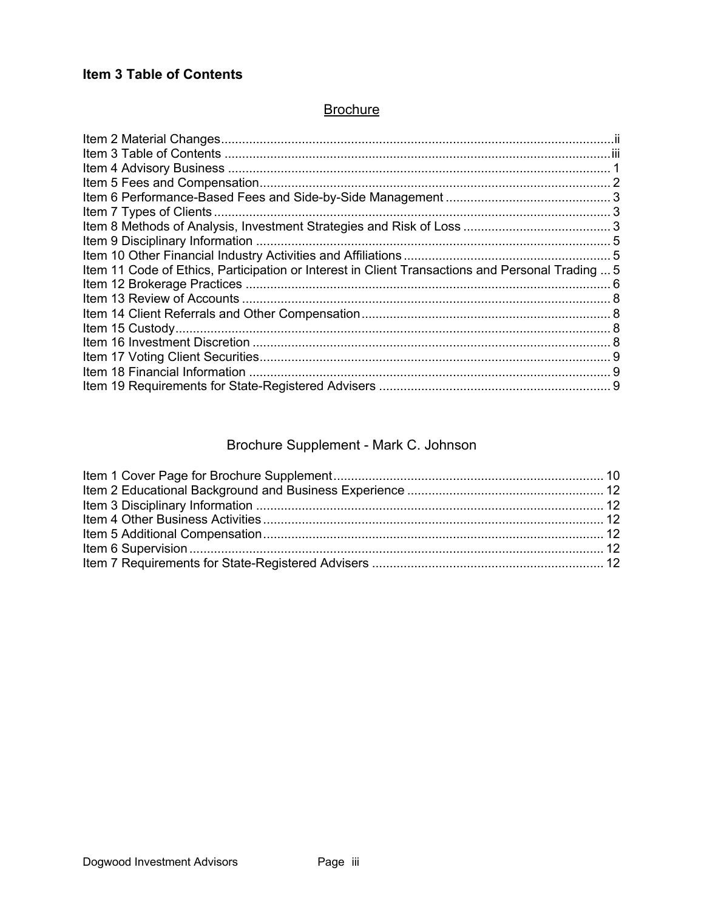# **Item 3 Table of Contents**

# **Brochure**

| Item 11 Code of Ethics, Participation or Interest in Client Transactions and Personal Trading  5 |  |
|--------------------------------------------------------------------------------------------------|--|
|                                                                                                  |  |
|                                                                                                  |  |
|                                                                                                  |  |
|                                                                                                  |  |
|                                                                                                  |  |
|                                                                                                  |  |
|                                                                                                  |  |
|                                                                                                  |  |

# Brochure Supplement - Mark C. Johnson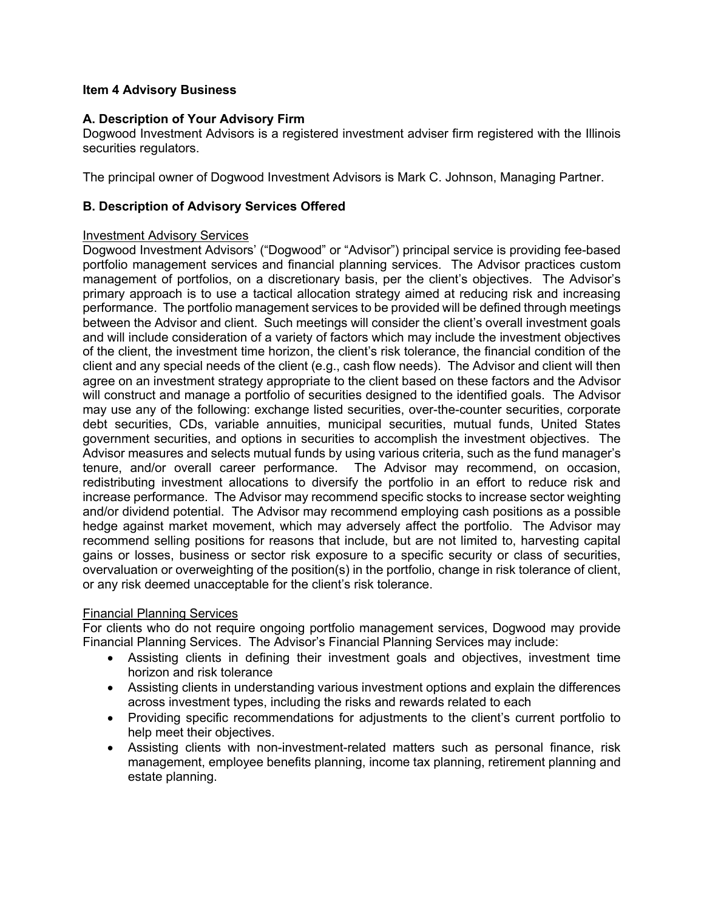# **Item 4 Advisory Business**

# **A. Description of Your Advisory Firm**

Dogwood Investment Advisors is a registered investment adviser firm registered with the Illinois securities regulators.

The principal owner of Dogwood Investment Advisors is Mark C. Johnson, Managing Partner.

# **B. Description of Advisory Services Offered**

# Investment Advisory Services

Dogwood Investment Advisors' ("Dogwood" or "Advisor") principal service is providing fee-based portfolio management services and financial planning services. The Advisor practices custom management of portfolios, on a discretionary basis, per the client's objectives. The Advisor's primary approach is to use a tactical allocation strategy aimed at reducing risk and increasing performance. The portfolio management services to be provided will be defined through meetings between the Advisor and client. Such meetings will consider the client's overall investment goals and will include consideration of a variety of factors which may include the investment objectives of the client, the investment time horizon, the client's risk tolerance, the financial condition of the client and any special needs of the client (e.g., cash flow needs). The Advisor and client will then agree on an investment strategy appropriate to the client based on these factors and the Advisor will construct and manage a portfolio of securities designed to the identified goals. The Advisor may use any of the following: exchange listed securities, over-the-counter securities, corporate debt securities, CDs, variable annuities, municipal securities, mutual funds, United States government securities, and options in securities to accomplish the investment objectives. The Advisor measures and selects mutual funds by using various criteria, such as the fund manager's tenure, and/or overall career performance. The Advisor may recommend, on occasion, redistributing investment allocations to diversify the portfolio in an effort to reduce risk and increase performance. The Advisor may recommend specific stocks to increase sector weighting and/or dividend potential. The Advisor may recommend employing cash positions as a possible hedge against market movement, which may adversely affect the portfolio. The Advisor may recommend selling positions for reasons that include, but are not limited to, harvesting capital gains or losses, business or sector risk exposure to a specific security or class of securities, overvaluation or overweighting of the position(s) in the portfolio, change in risk tolerance of client, or any risk deemed unacceptable for the client's risk tolerance.

# Financial Planning Services

For clients who do not require ongoing portfolio management services, Dogwood may provide Financial Planning Services. The Advisor's Financial Planning Services may include:

- Assisting clients in defining their investment goals and objectives, investment time horizon and risk tolerance
- Assisting clients in understanding various investment options and explain the differences across investment types, including the risks and rewards related to each
- Providing specific recommendations for adjustments to the client's current portfolio to help meet their objectives.
- Assisting clients with non-investment-related matters such as personal finance, risk management, employee benefits planning, income tax planning, retirement planning and estate planning.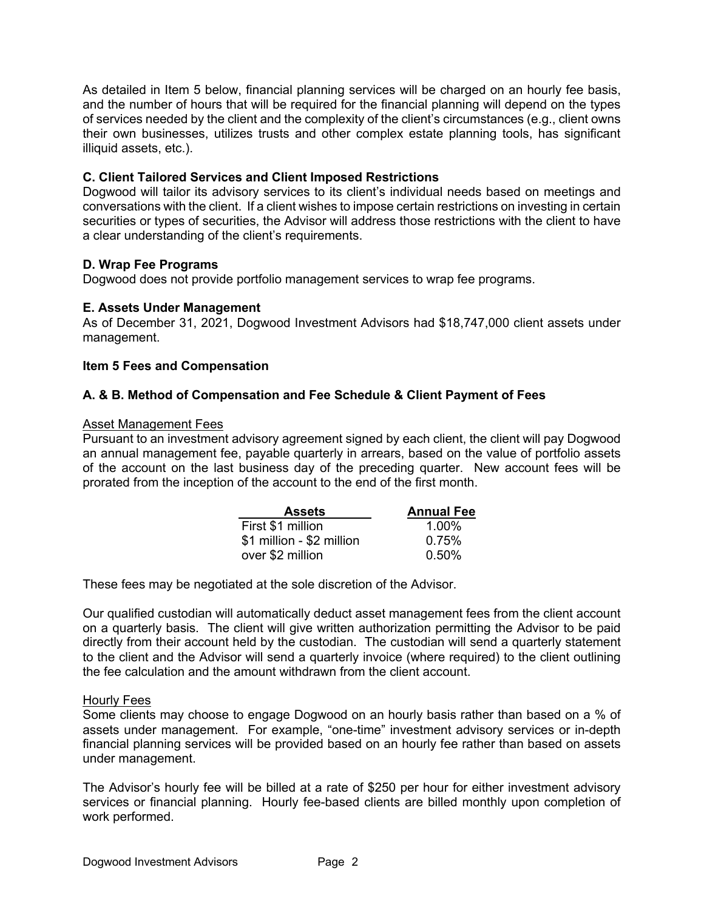As detailed in Item 5 below, financial planning services will be charged on an hourly fee basis, and the number of hours that will be required for the financial planning will depend on the types of services needed by the client and the complexity of the client's circumstances (e.g., client owns their own businesses, utilizes trusts and other complex estate planning tools, has significant illiquid assets, etc.).

# **C. Client Tailored Services and Client Imposed Restrictions**

Dogwood will tailor its advisory services to its client's individual needs based on meetings and conversations with the client. If a client wishes to impose certain restrictions on investing in certain securities or types of securities, the Advisor will address those restrictions with the client to have a clear understanding of the client's requirements.

# **D. Wrap Fee Programs**

Dogwood does not provide portfolio management services to wrap fee programs.

# **E. Assets Under Management**

As of December 31, 2021, Dogwood Investment Advisors had \$18,747,000 client assets under management.

# **Item 5 Fees and Compensation**

# **A. & B. Method of Compensation and Fee Schedule & Client Payment of Fees**

### Asset Management Fees

Pursuant to an investment advisory agreement signed by each client, the client will pay Dogwood an annual management fee, payable quarterly in arrears, based on the value of portfolio assets of the account on the last business day of the preceding quarter. New account fees will be prorated from the inception of the account to the end of the first month.

| <b>Assets</b>             | <b>Annual Fee</b> |
|---------------------------|-------------------|
| First \$1 million         | $1.00\%$          |
| \$1 million - \$2 million | 0.75%             |
| over \$2 million          | $0.50\%$          |

These fees may be negotiated at the sole discretion of the Advisor.

Our qualified custodian will automatically deduct asset management fees from the client account on a quarterly basis. The client will give written authorization permitting the Advisor to be paid directly from their account held by the custodian. The custodian will send a quarterly statement to the client and the Advisor will send a quarterly invoice (where required) to the client outlining the fee calculation and the amount withdrawn from the client account.

### Hourly Fees

Some clients may choose to engage Dogwood on an hourly basis rather than based on a % of assets under management. For example, "one-time" investment advisory services or in-depth financial planning services will be provided based on an hourly fee rather than based on assets under management.

The Advisor's hourly fee will be billed at a rate of \$250 per hour for either investment advisory services or financial planning. Hourly fee-based clients are billed monthly upon completion of work performed.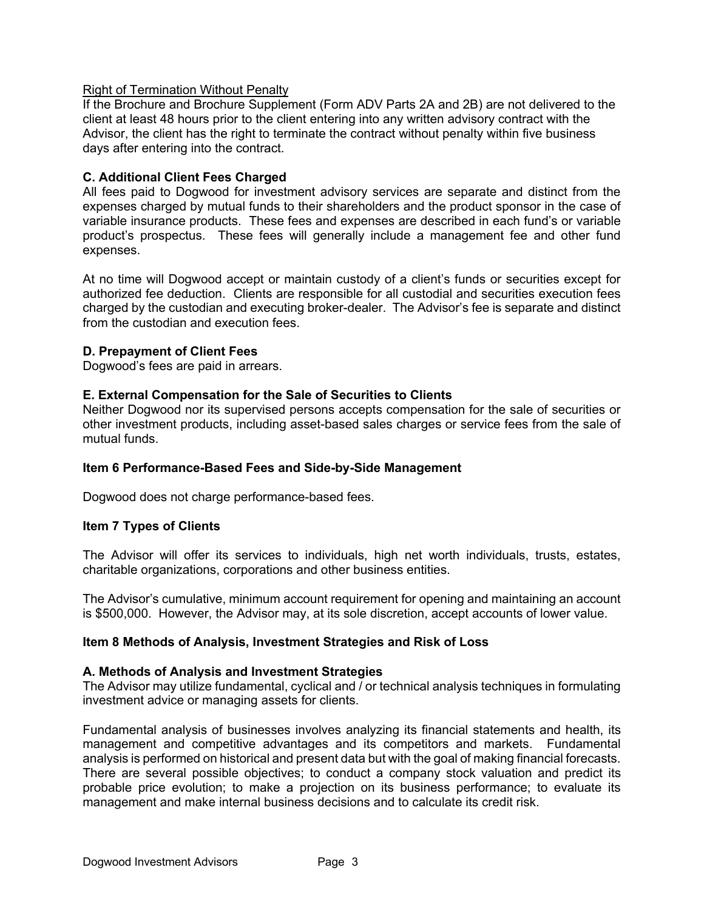# Right of Termination Without Penalty

If the Brochure and Brochure Supplement (Form ADV Parts 2A and 2B) are not delivered to the client at least 48 hours prior to the client entering into any written advisory contract with the Advisor, the client has the right to terminate the contract without penalty within five business days after entering into the contract.

# **C. Additional Client Fees Charged**

All fees paid to Dogwood for investment advisory services are separate and distinct from the expenses charged by mutual funds to their shareholders and the product sponsor in the case of variable insurance products. These fees and expenses are described in each fund's or variable product's prospectus. These fees will generally include a management fee and other fund expenses.

At no time will Dogwood accept or maintain custody of a client's funds or securities except for authorized fee deduction. Clients are responsible for all custodial and securities execution fees charged by the custodian and executing broker-dealer. The Advisor's fee is separate and distinct from the custodian and execution fees.

# **D. Prepayment of Client Fees**

Dogwood's fees are paid in arrears.

# **E. External Compensation for the Sale of Securities to Clients**

Neither Dogwood nor its supervised persons accepts compensation for the sale of securities or other investment products, including asset-based sales charges or service fees from the sale of mutual funds.

### **Item 6 Performance-Based Fees and Side-by-Side Management**

Dogwood does not charge performance-based fees.

### **Item 7 Types of Clients**

The Advisor will offer its services to individuals, high net worth individuals, trusts, estates, charitable organizations, corporations and other business entities.

The Advisor's cumulative, minimum account requirement for opening and maintaining an account is \$500,000. However, the Advisor may, at its sole discretion, accept accounts of lower value.

### **Item 8 Methods of Analysis, Investment Strategies and Risk of Loss**

### **A. Methods of Analysis and Investment Strategies**

The Advisor may utilize fundamental, cyclical and / or technical analysis techniques in formulating investment advice or managing assets for clients.

Fundamental analysis of businesses involves analyzing its financial statements and health, its management and competitive advantages and its competitors and markets. Fundamental analysis is performed on historical and present data but with the goal of making financial forecasts. There are several possible objectives; to conduct a company stock valuation and predict its probable price evolution; to make a projection on its business performance; to evaluate its management and make internal business decisions and to calculate its credit risk.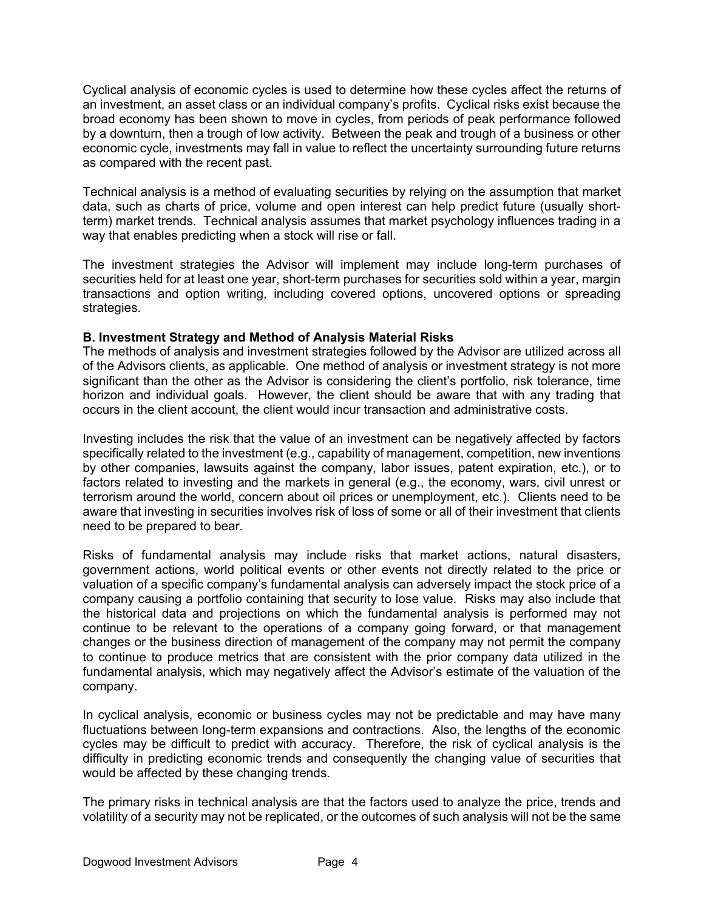Cyclical analysis of economic cycles is used to determine how these cycles affect the returns of an investment, an asset class or an individual company's profits. Cyclical risks exist because the broad economy has been shown to move in cycles, from periods of peak performance followed by a downturn, then a trough of low activity. Between the peak and trough of a business or other economic cycle, investments may fall in value to reflect the uncertainty surrounding future returns as compared with the recent past.

Technical analysis is a method of evaluating securities by relying on the assumption that market data, such as charts of price, volume and open interest can help predict future (usually shortterm) market trends. Technical analysis assumes that market psychology influences trading in a way that enables predicting when a stock will rise or fall.

The investment strategies the Advisor will implement may include long-term purchases of securities held for at least one year, short-term purchases for securities sold within a year, margin transactions and option writing, including covered options, uncovered options or spreading strategies.

# **B. Investment Strategy and Method of Analysis Material Risks**

The methods of analysis and investment strategies followed by the Advisor are utilized across all of the Advisors clients, as applicable. One method of analysis or investment strategy is not more significant than the other as the Advisor is considering the client's portfolio, risk tolerance, time horizon and individual goals. However, the client should be aware that with any trading that occurs in the client account, the client would incur transaction and administrative costs.

Investing includes the risk that the value of an investment can be negatively affected by factors specifically related to the investment (e.g., capability of management, competition, new inventions by other companies, lawsuits against the company, labor issues, patent expiration, etc.), or to factors related to investing and the markets in general (e.g., the economy, wars, civil unrest or terrorism around the world, concern about oil prices or unemployment, etc.). Clients need to be aware that investing in securities involves risk of loss of some or all of their investment that clients need to be prepared to bear.

Risks of fundamental analysis may include risks that market actions, natural disasters, government actions, world political events or other events not directly related to the price or valuation of a specific company's fundamental analysis can adversely impact the stock price of a company causing a portfolio containing that security to lose value. Risks may also include that the historical data and projections on which the fundamental analysis is performed may not continue to be relevant to the operations of a company going forward, or that management changes or the business direction of management of the company may not permit the company to continue to produce metrics that are consistent with the prior company data utilized in the fundamental analysis, which may negatively affect the Advisor's estimate of the valuation of the company.

In cyclical analysis, economic or business cycles may not be predictable and may have many fluctuations between long-term expansions and contractions. Also, the lengths of the economic cycles may be difficult to predict with accuracy. Therefore, the risk of cyclical analysis is the difficulty in predicting economic trends and consequently the changing value of securities that would be affected by these changing trends.

The primary risks in technical analysis are that the factors used to analyze the price, trends and volatility of a security may not be replicated, or the outcomes of such analysis will not be the same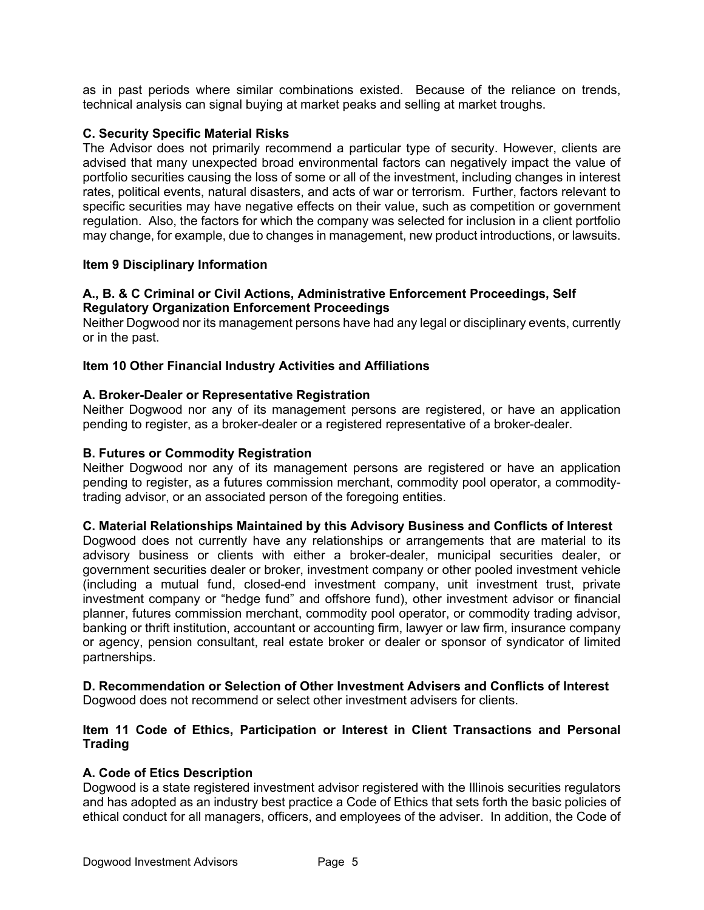as in past periods where similar combinations existed. Because of the reliance on trends, technical analysis can signal buying at market peaks and selling at market troughs.

## **C. Security Specific Material Risks**

The Advisor does not primarily recommend a particular type of security. However, clients are advised that many unexpected broad environmental factors can negatively impact the value of portfolio securities causing the loss of some or all of the investment, including changes in interest rates, political events, natural disasters, and acts of war or terrorism. Further, factors relevant to specific securities may have negative effects on their value, such as competition or government regulation. Also, the factors for which the company was selected for inclusion in a client portfolio may change, for example, due to changes in management, new product introductions, or lawsuits.

### **Item 9 Disciplinary Information**

# **A., B. & C Criminal or Civil Actions, Administrative Enforcement Proceedings, Self Regulatory Organization Enforcement Proceedings**

Neither Dogwood nor its management persons have had any legal or disciplinary events, currently or in the past.

### **Item 10 Other Financial Industry Activities and Affiliations**

### **A. Broker-Dealer or Representative Registration**

Neither Dogwood nor any of its management persons are registered, or have an application pending to register, as a broker-dealer or a registered representative of a broker-dealer.

### **B. Futures or Commodity Registration**

Neither Dogwood nor any of its management persons are registered or have an application pending to register, as a futures commission merchant, commodity pool operator, a commoditytrading advisor, or an associated person of the foregoing entities.

### **C. Material Relationships Maintained by this Advisory Business and Conflicts of Interest**

Dogwood does not currently have any relationships or arrangements that are material to its advisory business or clients with either a broker-dealer, municipal securities dealer, or government securities dealer or broker, investment company or other pooled investment vehicle (including a mutual fund, closed-end investment company, unit investment trust, private investment company or "hedge fund" and offshore fund), other investment advisor or financial planner, futures commission merchant, commodity pool operator, or commodity trading advisor, banking or thrift institution, accountant or accounting firm, lawyer or law firm, insurance company or agency, pension consultant, real estate broker or dealer or sponsor of syndicator of limited partnerships.

# **D. Recommendation or Selection of Other Investment Advisers and Conflicts of Interest**

Dogwood does not recommend or select other investment advisers for clients.

### **Item 11 Code of Ethics, Participation or Interest in Client Transactions and Personal Trading**

### **A. Code of Etics Description**

Dogwood is a state registered investment advisor registered with the Illinois securities regulators and has adopted as an industry best practice a Code of Ethics that sets forth the basic policies of ethical conduct for all managers, officers, and employees of the adviser. In addition, the Code of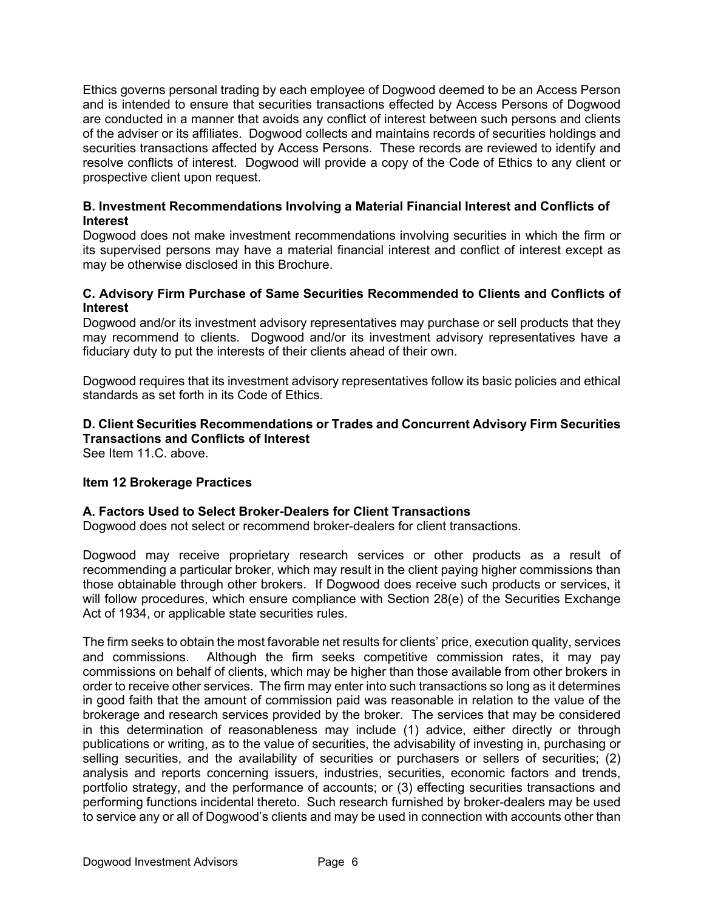Ethics governs personal trading by each employee of Dogwood deemed to be an Access Person and is intended to ensure that securities transactions effected by Access Persons of Dogwood are conducted in a manner that avoids any conflict of interest between such persons and clients of the adviser or its affiliates. Dogwood collects and maintains records of securities holdings and securities transactions affected by Access Persons. These records are reviewed to identify and resolve conflicts of interest. Dogwood will provide a copy of the Code of Ethics to any client or prospective client upon request.

# **B. Investment Recommendations Involving a Material Financial Interest and Conflicts of Interest**

Dogwood does not make investment recommendations involving securities in which the firm or its supervised persons may have a material financial interest and conflict of interest except as may be otherwise disclosed in this Brochure.

# **C. Advisory Firm Purchase of Same Securities Recommended to Clients and Conflicts of Interest**

Dogwood and/or its investment advisory representatives may purchase or sell products that they may recommend to clients. Dogwood and/or its investment advisory representatives have a fiduciary duty to put the interests of their clients ahead of their own.

Dogwood requires that its investment advisory representatives follow its basic policies and ethical standards as set forth in its Code of Ethics.

# **D. Client Securities Recommendations or Trades and Concurrent Advisory Firm Securities Transactions and Conflicts of Interest**

See Item 11.C. above.

# **Item 12 Brokerage Practices**

### **A. Factors Used to Select Broker-Dealers for Client Transactions**

Dogwood does not select or recommend broker-dealers for client transactions.

Dogwood may receive proprietary research services or other products as a result of recommending a particular broker, which may result in the client paying higher commissions than those obtainable through other brokers. If Dogwood does receive such products or services, it will follow procedures, which ensure compliance with Section 28(e) of the Securities Exchange Act of 1934, or applicable state securities rules.

The firm seeks to obtain the most favorable net results for clients' price, execution quality, services and commissions. Although the firm seeks competitive commission rates, it may pay commissions on behalf of clients, which may be higher than those available from other brokers in order to receive other services. The firm may enter into such transactions so long as it determines in good faith that the amount of commission paid was reasonable in relation to the value of the brokerage and research services provided by the broker. The services that may be considered in this determination of reasonableness may include (1) advice, either directly or through publications or writing, as to the value of securities, the advisability of investing in, purchasing or selling securities, and the availability of securities or purchasers or sellers of securities; (2) analysis and reports concerning issuers, industries, securities, economic factors and trends, portfolio strategy, and the performance of accounts; or (3) effecting securities transactions and performing functions incidental thereto. Such research furnished by broker-dealers may be used to service any or all of Dogwood's clients and may be used in connection with accounts other than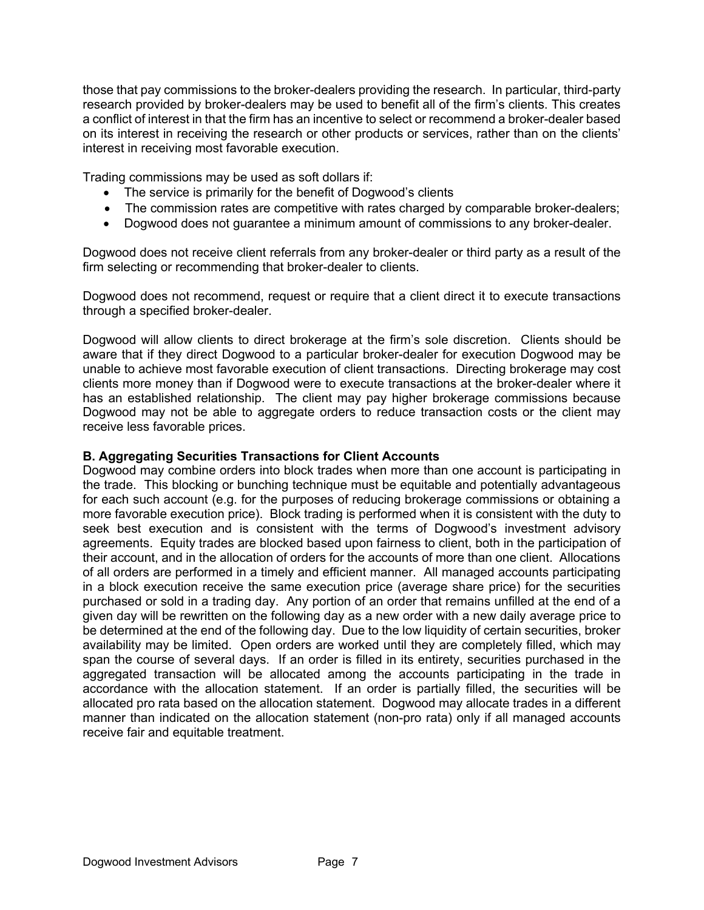those that pay commissions to the broker-dealers providing the research. In particular, third-party research provided by broker-dealers may be used to benefit all of the firm's clients. This creates a conflict of interest in that the firm has an incentive to select or recommend a broker-dealer based on its interest in receiving the research or other products or services, rather than on the clients' interest in receiving most favorable execution.

Trading commissions may be used as soft dollars if:

- The service is primarily for the benefit of Dogwood's clients
- The commission rates are competitive with rates charged by comparable broker-dealers;
- Dogwood does not guarantee a minimum amount of commissions to any broker-dealer.

Dogwood does not receive client referrals from any broker-dealer or third party as a result of the firm selecting or recommending that broker-dealer to clients.

Dogwood does not recommend, request or require that a client direct it to execute transactions through a specified broker-dealer.

Dogwood will allow clients to direct brokerage at the firm's sole discretion. Clients should be aware that if they direct Dogwood to a particular broker-dealer for execution Dogwood may be unable to achieve most favorable execution of client transactions. Directing brokerage may cost clients more money than if Dogwood were to execute transactions at the broker-dealer where it has an established relationship. The client may pay higher brokerage commissions because Dogwood may not be able to aggregate orders to reduce transaction costs or the client may receive less favorable prices.

### **B. Aggregating Securities Transactions for Client Accounts**

Dogwood may combine orders into block trades when more than one account is participating in the trade. This blocking or bunching technique must be equitable and potentially advantageous for each such account (e.g. for the purposes of reducing brokerage commissions or obtaining a more favorable execution price). Block trading is performed when it is consistent with the duty to seek best execution and is consistent with the terms of Dogwood's investment advisory agreements. Equity trades are blocked based upon fairness to client, both in the participation of their account, and in the allocation of orders for the accounts of more than one client. Allocations of all orders are performed in a timely and efficient manner. All managed accounts participating in a block execution receive the same execution price (average share price) for the securities purchased or sold in a trading day. Any portion of an order that remains unfilled at the end of a given day will be rewritten on the following day as a new order with a new daily average price to be determined at the end of the following day. Due to the low liquidity of certain securities, broker availability may be limited. Open orders are worked until they are completely filled, which may span the course of several days. If an order is filled in its entirety, securities purchased in the aggregated transaction will be allocated among the accounts participating in the trade in accordance with the allocation statement. If an order is partially filled, the securities will be allocated pro rata based on the allocation statement. Dogwood may allocate trades in a different manner than indicated on the allocation statement (non-pro rata) only if all managed accounts receive fair and equitable treatment.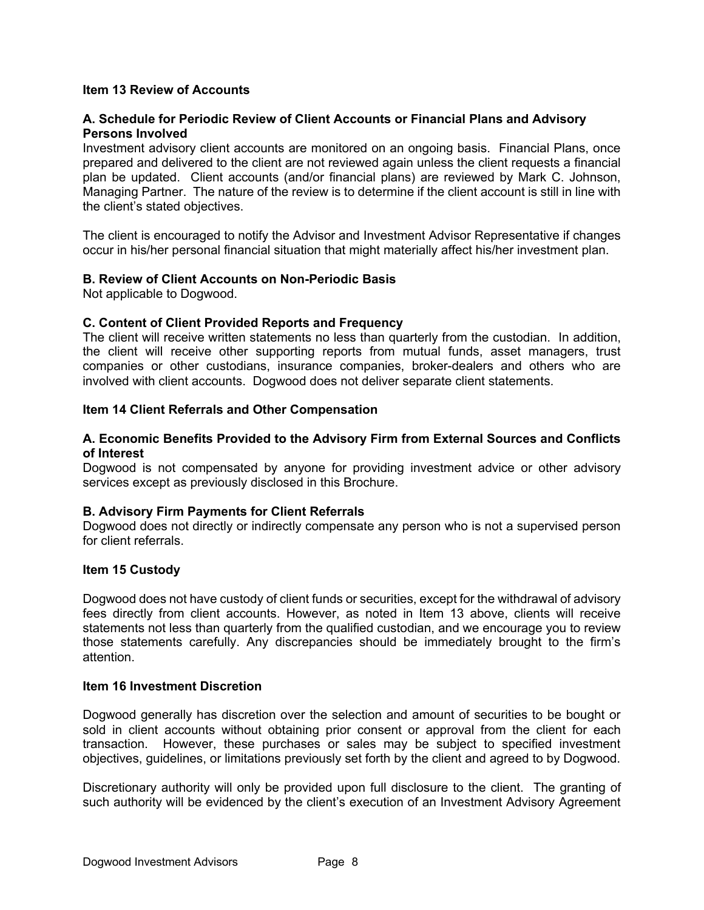# **Item 13 Review of Accounts**

# **A. Schedule for Periodic Review of Client Accounts or Financial Plans and Advisory Persons Involved**

Investment advisory client accounts are monitored on an ongoing basis. Financial Plans, once prepared and delivered to the client are not reviewed again unless the client requests a financial plan be updated. Client accounts (and/or financial plans) are reviewed by Mark C. Johnson, Managing Partner. The nature of the review is to determine if the client account is still in line with the client's stated objectives.

The client is encouraged to notify the Advisor and Investment Advisor Representative if changes occur in his/her personal financial situation that might materially affect his/her investment plan.

### **B. Review of Client Accounts on Non-Periodic Basis**

Not applicable to Dogwood.

### **C. Content of Client Provided Reports and Frequency**

The client will receive written statements no less than quarterly from the custodian. In addition, the client will receive other supporting reports from mutual funds, asset managers, trust companies or other custodians, insurance companies, broker-dealers and others who are involved with client accounts. Dogwood does not deliver separate client statements.

#### **Item 14 Client Referrals and Other Compensation**

#### **A. Economic Benefits Provided to the Advisory Firm from External Sources and Conflicts of Interest**

Dogwood is not compensated by anyone for providing investment advice or other advisory services except as previously disclosed in this Brochure.

### **B. Advisory Firm Payments for Client Referrals**

Dogwood does not directly or indirectly compensate any person who is not a supervised person for client referrals.

#### **Item 15 Custody**

Dogwood does not have custody of client funds or securities, except for the withdrawal of advisory fees directly from client accounts. However, as noted in Item 13 above, clients will receive statements not less than quarterly from the qualified custodian, and we encourage you to review those statements carefully. Any discrepancies should be immediately brought to the firm's attention.

#### **Item 16 Investment Discretion**

Dogwood generally has discretion over the selection and amount of securities to be bought or sold in client accounts without obtaining prior consent or approval from the client for each transaction. However, these purchases or sales may be subject to specified investment objectives, guidelines, or limitations previously set forth by the client and agreed to by Dogwood.

Discretionary authority will only be provided upon full disclosure to the client. The granting of such authority will be evidenced by the client's execution of an Investment Advisory Agreement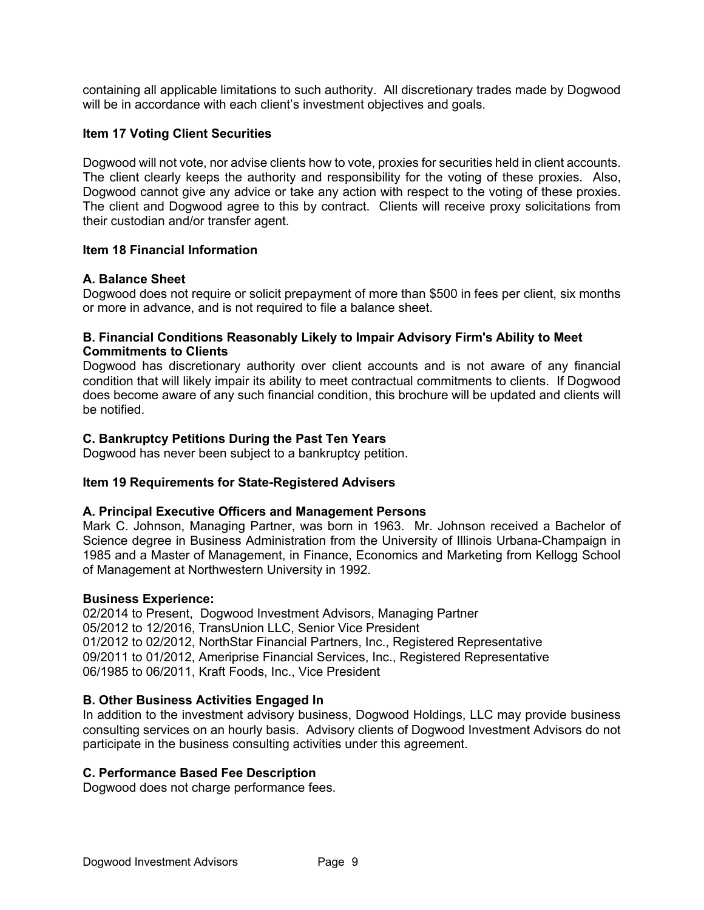containing all applicable limitations to such authority. All discretionary trades made by Dogwood will be in accordance with each client's investment objectives and goals.

# **Item 17 Voting Client Securities**

Dogwood will not vote, nor advise clients how to vote, proxies for securities held in client accounts. The client clearly keeps the authority and responsibility for the voting of these proxies. Also, Dogwood cannot give any advice or take any action with respect to the voting of these proxies. The client and Dogwood agree to this by contract. Clients will receive proxy solicitations from their custodian and/or transfer agent.

### **Item 18 Financial Information**

### **A. Balance Sheet**

Dogwood does not require or solicit prepayment of more than \$500 in fees per client, six months or more in advance, and is not required to file a balance sheet.

# **B. Financial Conditions Reasonably Likely to Impair Advisory Firm's Ability to Meet Commitments to Clients**

Dogwood has discretionary authority over client accounts and is not aware of any financial condition that will likely impair its ability to meet contractual commitments to clients. If Dogwood does become aware of any such financial condition, this brochure will be updated and clients will be notified.

# **C. Bankruptcy Petitions During the Past Ten Years**

Dogwood has never been subject to a bankruptcy petition.

### **Item 19 Requirements for State-Registered Advisers**

### **A. Principal Executive Officers and Management Persons**

Mark C. Johnson, Managing Partner, was born in 1963. Mr. Johnson received a Bachelor of Science degree in Business Administration from the University of Illinois Urbana-Champaign in 1985 and a Master of Management, in Finance, Economics and Marketing from Kellogg School of Management at Northwestern University in 1992.

### **Business Experience:**

02/2014 to Present, Dogwood Investment Advisors, Managing Partner 05/2012 to 12/2016, TransUnion LLC, Senior Vice President 01/2012 to 02/2012, NorthStar Financial Partners, Inc., Registered Representative 09/2011 to 01/2012, Ameriprise Financial Services, Inc., Registered Representative 06/1985 to 06/2011, Kraft Foods, Inc., Vice President

### **B. Other Business Activities Engaged In**

In addition to the investment advisory business, Dogwood Holdings, LLC may provide business consulting services on an hourly basis. Advisory clients of Dogwood Investment Advisors do not participate in the business consulting activities under this agreement.

### **C. Performance Based Fee Description**

Dogwood does not charge performance fees.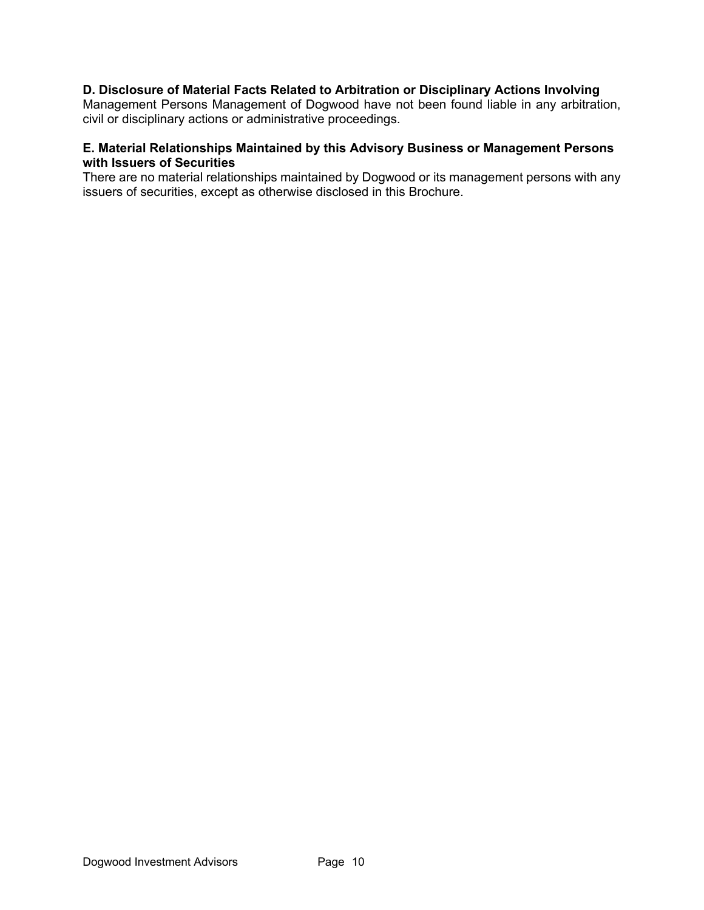# **D. Disclosure of Material Facts Related to Arbitration or Disciplinary Actions Involving**

Management Persons Management of Dogwood have not been found liable in any arbitration, civil or disciplinary actions or administrative proceedings.

# **E. Material Relationships Maintained by this Advisory Business or Management Persons with Issuers of Securities**

There are no material relationships maintained by Dogwood or its management persons with any issuers of securities, except as otherwise disclosed in this Brochure.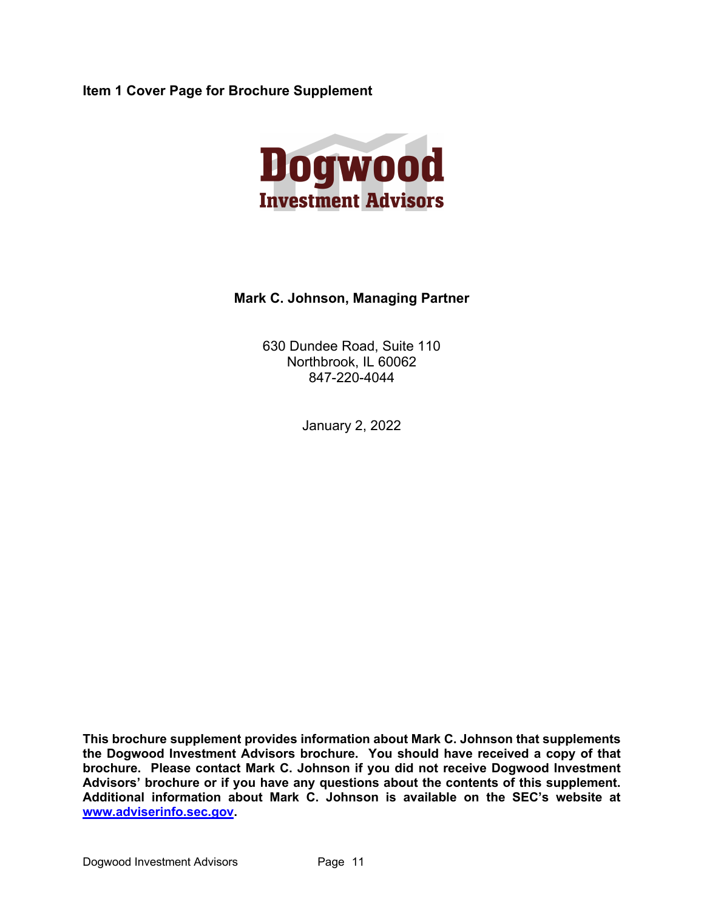**Item 1 Cover Page for Brochure Supplement**



# **Mark C. Johnson, Managing Partner**

630 Dundee Road, Suite 110 Northbrook, IL 60062 847-220-4044

January 2, 2022

**This brochure supplement provides information about Mark C. Johnson that supplements the Dogwood Investment Advisors brochure. You should have received a copy of that brochure. Please contact Mark C. Johnson if you did not receive Dogwood Investment Advisors' brochure or if you have any questions about the contents of this supplement. Additional information about Mark C. Johnson is available on the SEC's website at www.adviserinfo.sec.gov.**